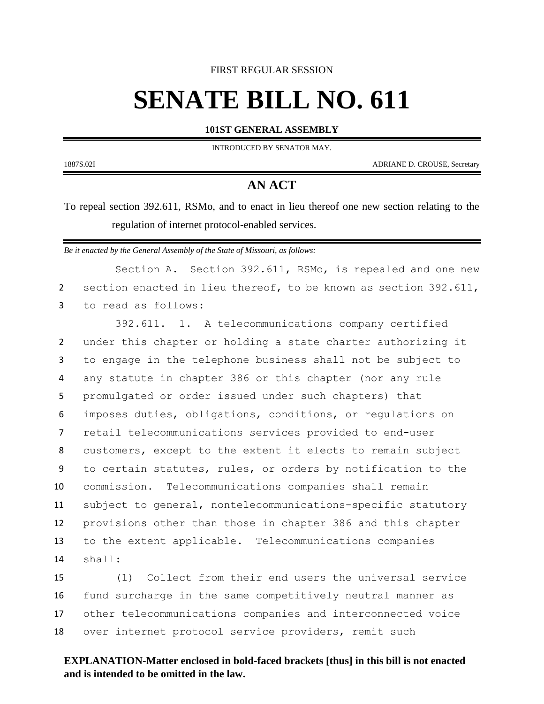#### FIRST REGULAR SESSION

# **SENATE BILL NO. 611**

#### **101ST GENERAL ASSEMBLY**

INTRODUCED BY SENATOR MAY.

1887S.02I ADRIANE D. CROUSE, Secretary

## **AN ACT**

To repeal section 392.611, RSMo, and to enact in lieu thereof one new section relating to the regulation of internet protocol-enabled services.

*Be it enacted by the General Assembly of the State of Missouri, as follows:*

Section A. Section 392.611, RSMo, is repealed and one new section enacted in lieu thereof, to be known as section 392.611, to read as follows:

 392.611. 1. A telecommunications company certified under this chapter or holding a state charter authorizing it to engage in the telephone business shall not be subject to any statute in chapter 386 or this chapter (nor any rule promulgated or order issued under such chapters) that imposes duties, obligations, conditions, or regulations on retail telecommunications services provided to end-user customers, except to the extent it elects to remain subject to certain statutes, rules, or orders by notification to the commission. Telecommunications companies shall remain subject to general, nontelecommunications-specific statutory provisions other than those in chapter 386 and this chapter to the extent applicable. Telecommunications companies shall:

 (1) Collect from their end users the universal service fund surcharge in the same competitively neutral manner as other telecommunications companies and interconnected voice over internet protocol service providers, remit such

### **EXPLANATION-Matter enclosed in bold-faced brackets [thus] in this bill is not enacted and is intended to be omitted in the law.**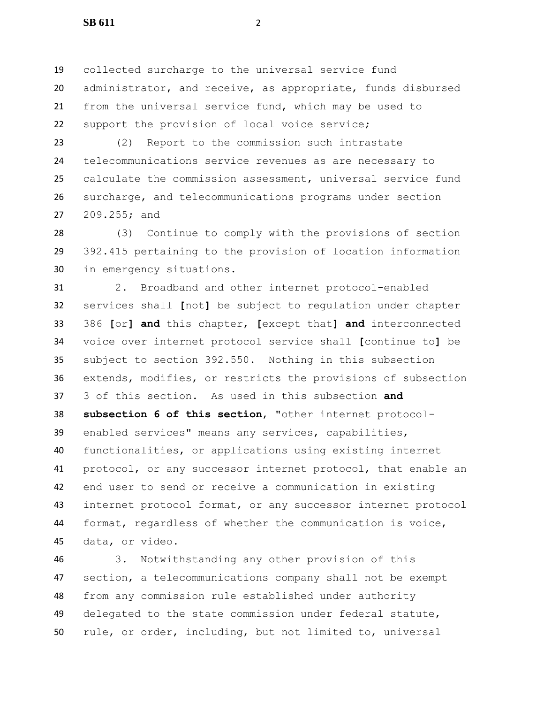**SB 611** 2

 collected surcharge to the universal service fund administrator, and receive, as appropriate, funds disbursed from the universal service fund, which may be used to support the provision of local voice service;

 (2) Report to the commission such intrastate telecommunications service revenues as are necessary to calculate the commission assessment, universal service fund surcharge, and telecommunications programs under section 209.255; and

 (3) Continue to comply with the provisions of section 392.415 pertaining to the provision of location information in emergency situations.

 2. Broadband and other internet protocol-enabled services shall **[**not**]** be subject to regulation under chapter 386 **[**or**] and** this chapter, **[**except that**] and** interconnected voice over internet protocol service shall **[**continue to**]** be subject to section 392.550. Nothing in this subsection extends, modifies, or restricts the provisions of subsection 3 of this section. As used in this subsection **and subsection 6 of this section**, "other internet protocol- enabled services" means any services, capabilities, functionalities, or applications using existing internet protocol, or any successor internet protocol, that enable an end user to send or receive a communication in existing internet protocol format, or any successor internet protocol format, regardless of whether the communication is voice, data, or video.

 3. Notwithstanding any other provision of this section, a telecommunications company shall not be exempt from any commission rule established under authority delegated to the state commission under federal statute, rule, or order, including, but not limited to, universal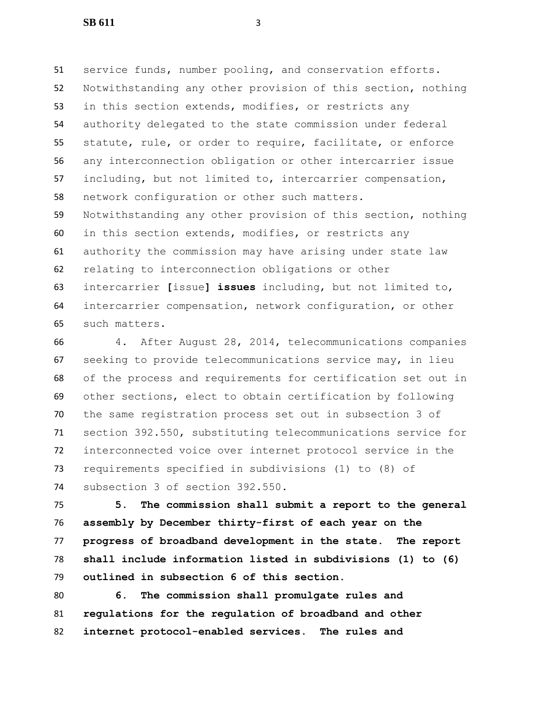service funds, number pooling, and conservation efforts. Notwithstanding any other provision of this section, nothing in this section extends, modifies, or restricts any authority delegated to the state commission under federal statute, rule, or order to require, facilitate, or enforce any interconnection obligation or other intercarrier issue including, but not limited to, intercarrier compensation, network configuration or other such matters. Notwithstanding any other provision of this section, nothing in this section extends, modifies, or restricts any authority the commission may have arising under state law relating to interconnection obligations or other intercarrier **[**issue**] issues** including, but not limited to, intercarrier compensation, network configuration, or other such matters.

 4. After August 28, 2014, telecommunications companies seeking to provide telecommunications service may, in lieu of the process and requirements for certification set out in other sections, elect to obtain certification by following the same registration process set out in subsection 3 of section 392.550, substituting telecommunications service for interconnected voice over internet protocol service in the requirements specified in subdivisions (1) to (8) of subsection 3 of section 392.550.

 **5. The commission shall submit a report to the general assembly by December thirty-first of each year on the progress of broadband development in the state. The report shall include information listed in subdivisions (1) to (6) outlined in subsection 6 of this section.**

 **6. The commission shall promulgate rules and regulations for the regulation of broadband and other internet protocol-enabled services. The rules and**